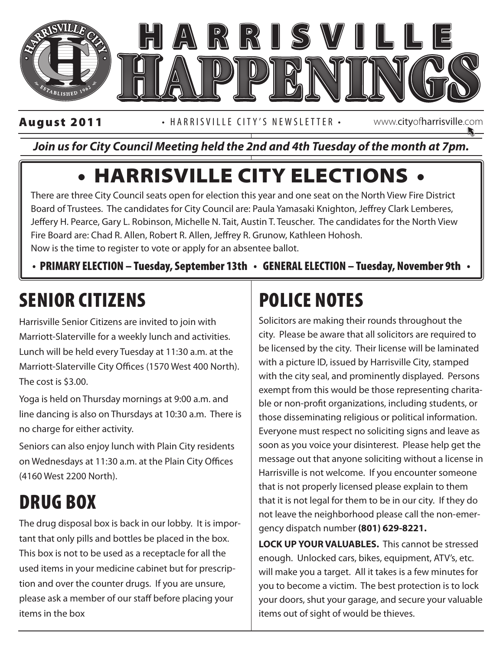

*Join us for City Council Meeting held the 2nd and 4th Tuesday of the month at 7pm.*

# • HARRISVILLE CITY ELECTIONS •

There are three City Council seats open for election this year and one seat on the North View Fire District Board of Trustees. The candidates for City Council are: Paula Yamasaki Knighton, Jeffrey Clark Lemberes, Jeffery H. Pearce, Gary L. Robinson, Michelle N. Tait, Austin T. Teuscher. The candidates for the North View Fire Board are: Chad R. Allen, Robert R. Allen, Jeffrey R. Grunow, Kathleen Hohosh. Now is the time to register to vote or apply for an absentee ballot.

### • PRIMARY ELECTION – Tuesday, September 13th • GENERAL ELECTION – Tuesday, November 9th

## Senior Citizens

Harrisville Senior Citizens are invited to join with Marriott-Slaterville for a weekly lunch and activities. Lunch will be held every Tuesday at 11:30 a.m. at the Marriott-Slaterville City Offices (1570 West 400 North). The cost is \$3.00.

Yoga is held on Thursday mornings at 9:00 a.m. and line dancing is also on Thursdays at 10:30 a.m. There is no charge for either activity.

Seniors can also enjoy lunch with Plain City residents on Wednesdays at 11:30 a.m. at the Plain City Offices (4160 West 2200 North).

## Drug Box

The drug disposal box is back in our lobby. It is important that only pills and bottles be placed in the box. This box is not to be used as a receptacle for all the used items in your medicine cabinet but for prescription and over the counter drugs. If you are unsure, please ask a member of our staff before placing your items in the box

# Police Notes

 $\frac{1}{2}$ ivities.  $\begin{bmatrix} \text{city.} \\ \text{Please be aware that all solicitors are required to} \end{bmatrix}$ Solicitors are making their rounds throughout the be licensed by the city. Their license will be laminated with a picture ID, issued by Harrisville City, stamped with the city seal, and prominently displayed. Persons exempt from this would be those representing charitable or non-profit organizations, including students, or those disseminating religious or political information. Everyone must respect no soliciting signs and leave as soon as you voice your disinterest. Please help get the message out that anyone soliciting without a license in Harrisville is not welcome. If you encounter someone that is not properly licensed please explain to them that it is not legal for them to be in our city. If they do not leave the neighborhood please call the non-emergency dispatch number **(801) 629-8221.**

> **LOCK UP YOUR VALUABLES.** This cannot be stressed enough. Unlocked cars, bikes, equipment, ATV's, etc. will make you a target. All it takes is a few minutes for you to become a victim. The best protection is to lock your doors, shut your garage, and secure your valuable items out of sight of would be thieves.